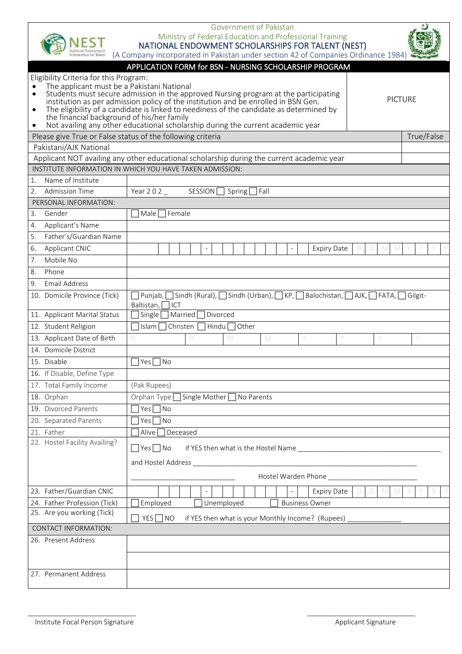| Innat Enfowmen<br>Periarihina tor Talarri                                | Government of Pakistan<br>Ministry of Federal Education and Professional Training<br>NATIONAL ENDOWMENT SCHOLARSHIPS FOR TALENT (NEST)<br>(A Company incorporated in Pakistan under section 42 of Companies Ordinance 1984)                                                                                                          |  |  |  |  |
|--------------------------------------------------------------------------|--------------------------------------------------------------------------------------------------------------------------------------------------------------------------------------------------------------------------------------------------------------------------------------------------------------------------------------|--|--|--|--|
| APPLICATION FORM for BSN - NURSING SCHOLARSHIP PROGRAM                   |                                                                                                                                                                                                                                                                                                                                      |  |  |  |  |
| Eligibility Criteria for this Program:                                   |                                                                                                                                                                                                                                                                                                                                      |  |  |  |  |
|                                                                          | The applicant must be a Pakistani National<br>Students must secure admission in the approved Nursing program at the participating<br><b>PICTURE</b><br>institution as per admission policy of the institution and be enrolled in BSN Gen.<br>The eligibility of a candidate is linked to neediness of the candidate as determined by |  |  |  |  |
| the financial background of his/her family<br>٠                          | Not availing any other educational scholarship during the current academic year                                                                                                                                                                                                                                                      |  |  |  |  |
| Please give True or False status of the following criteria<br>True/False |                                                                                                                                                                                                                                                                                                                                      |  |  |  |  |
| Pakistani/AJK National                                                   |                                                                                                                                                                                                                                                                                                                                      |  |  |  |  |
|                                                                          | Applicant NOT availing any other educational scholarship during the current academic year                                                                                                                                                                                                                                            |  |  |  |  |
|                                                                          | INSTITUTE INFORMATION IN WHICH YOU HAVE TAKEN ADMISSION:                                                                                                                                                                                                                                                                             |  |  |  |  |
| Name of Institute<br>1.                                                  |                                                                                                                                                                                                                                                                                                                                      |  |  |  |  |
| <b>Admission Time</b><br>2.                                              | SESSION<br>Year 202<br>Fall<br>Spring[                                                                                                                                                                                                                                                                                               |  |  |  |  |
| PERSONAL INFORMATION:                                                    |                                                                                                                                                                                                                                                                                                                                      |  |  |  |  |
| Gender<br>3.                                                             | Male<br>Female                                                                                                                                                                                                                                                                                                                       |  |  |  |  |
| 4.<br>Applicant's Name                                                   |                                                                                                                                                                                                                                                                                                                                      |  |  |  |  |
| 5.<br>Father's/Guardian Name                                             |                                                                                                                                                                                                                                                                                                                                      |  |  |  |  |
| Applicant CNIC<br>6.                                                     | <b>Expiry Date</b>                                                                                                                                                                                                                                                                                                                   |  |  |  |  |
| Mobile No<br>7.                                                          |                                                                                                                                                                                                                                                                                                                                      |  |  |  |  |
| 8.<br>Phone                                                              |                                                                                                                                                                                                                                                                                                                                      |  |  |  |  |
| <b>Email Address</b><br>9.                                               |                                                                                                                                                                                                                                                                                                                                      |  |  |  |  |
| 10. Domicile Province (Tick)                                             | ] Sindh (Rural), □ Sindh (Urban), □ KP, □ Balochistan, □ AJK, □ FATA, [<br>Punjab,<br>l Gilgit-<br>ICT<br>Baltistan,                                                                                                                                                                                                                 |  |  |  |  |
| 11. Applicant Marital Status                                             | Married<br>Divorced<br>Single                                                                                                                                                                                                                                                                                                        |  |  |  |  |
| 12. Student Religion                                                     | Christen<br>Islam [<br>Hindu<br>Other                                                                                                                                                                                                                                                                                                |  |  |  |  |
| 13. Applicant Date of Birth                                              | D<br>M<br>M<br>D                                                                                                                                                                                                                                                                                                                     |  |  |  |  |
| 14. Domicile District                                                    |                                                                                                                                                                                                                                                                                                                                      |  |  |  |  |
| 15. Disable                                                              | $Yes \Box No$                                                                                                                                                                                                                                                                                                                        |  |  |  |  |
| 16. If Disable, Define Type                                              |                                                                                                                                                                                                                                                                                                                                      |  |  |  |  |
| 17. Total Family Income                                                  | (Pak Rupees)                                                                                                                                                                                                                                                                                                                         |  |  |  |  |
| 18. Orphan                                                               | Orphan Type<br>$\overline{\phantom{a}}$ Single Mother $\overline{\phantom{a}}$<br>No Parents                                                                                                                                                                                                                                         |  |  |  |  |
| 19. Divorced Parents                                                     | $Yes \Box No$                                                                                                                                                                                                                                                                                                                        |  |  |  |  |
| 20. Separated Parents                                                    | $Yes \Box No$                                                                                                                                                                                                                                                                                                                        |  |  |  |  |
| 21. Father                                                               | Deceased<br>Alive                                                                                                                                                                                                                                                                                                                    |  |  |  |  |
| 22. Hostel Facility Availing?                                            | $\Box$ Yes $\Box$ No                                                                                                                                                                                                                                                                                                                 |  |  |  |  |
|                                                                          | and Hostel Address                                                                                                                                                                                                                                                                                                                   |  |  |  |  |
|                                                                          | Hostel Warden Phone                                                                                                                                                                                                                                                                                                                  |  |  |  |  |
|                                                                          |                                                                                                                                                                                                                                                                                                                                      |  |  |  |  |
| 23. Father/Guardian CNIC                                                 | <b>Expiry Date</b><br>D M<br>M                                                                                                                                                                                                                                                                                                       |  |  |  |  |
| 24. Father Profession (Tick)                                             | Employed<br>Unemployed<br><b>Business Owner</b>                                                                                                                                                                                                                                                                                      |  |  |  |  |
| 25. Are you working (Tick)                                               | if YES then what is your Monthly Income? (Rupees)<br>$YES \nightharpoonup NO$                                                                                                                                                                                                                                                        |  |  |  |  |
| <b>CONTACT INFORMATION:</b>                                              |                                                                                                                                                                                                                                                                                                                                      |  |  |  |  |
| 26. Present Address                                                      |                                                                                                                                                                                                                                                                                                                                      |  |  |  |  |
|                                                                          |                                                                                                                                                                                                                                                                                                                                      |  |  |  |  |
|                                                                          |                                                                                                                                                                                                                                                                                                                                      |  |  |  |  |
| 27. Permanent Address                                                    |                                                                                                                                                                                                                                                                                                                                      |  |  |  |  |

 $\overline{\phantom{a}}$  , and the contribution of the contribution of the contribution of the contribution of the contribution of the contribution of the contribution of the contribution of the contribution of the contribution of the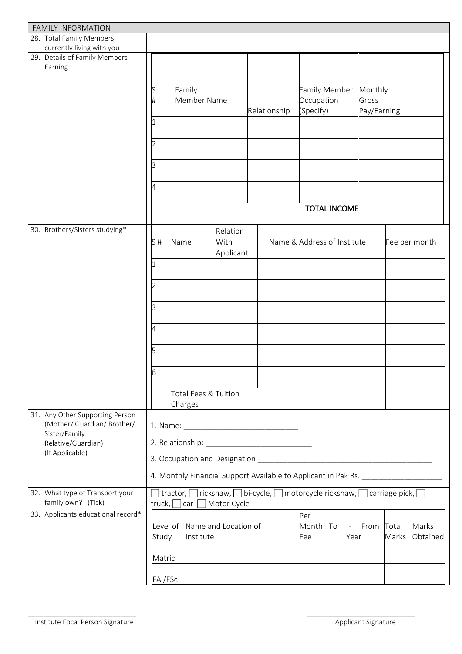| <b>FAMILY INFORMATION</b>             |                                                                                                       |                          |                      |                                                                                  |            |                             |             |       |               |
|---------------------------------------|-------------------------------------------------------------------------------------------------------|--------------------------|----------------------|----------------------------------------------------------------------------------|------------|-----------------------------|-------------|-------|---------------|
| 28. Total Family Members              |                                                                                                       |                          |                      |                                                                                  |            |                             |             |       |               |
| currently living with you             |                                                                                                       |                          |                      |                                                                                  |            |                             |             |       |               |
| 29. Details of Family Members         |                                                                                                       |                          |                      |                                                                                  |            |                             |             |       |               |
| Earning                               |                                                                                                       |                          |                      |                                                                                  |            |                             |             |       |               |
|                                       |                                                                                                       |                          |                      |                                                                                  |            |                             |             |       |               |
|                                       | S                                                                                                     | Family                   |                      |                                                                                  |            | <b>Family Member</b>        | Monthly     |       |               |
|                                       | #                                                                                                     | Member Name              |                      |                                                                                  | Occupation |                             | Gross       |       |               |
|                                       |                                                                                                       |                          |                      | Relationship                                                                     | (Specify)  |                             | Pay/Earning |       |               |
|                                       | 1                                                                                                     |                          |                      |                                                                                  |            |                             |             |       |               |
|                                       |                                                                                                       |                          |                      |                                                                                  |            |                             |             |       |               |
|                                       |                                                                                                       |                          |                      |                                                                                  |            |                             |             |       |               |
|                                       | 2                                                                                                     |                          |                      |                                                                                  |            |                             |             |       |               |
|                                       |                                                                                                       |                          |                      |                                                                                  |            |                             |             |       |               |
|                                       | З                                                                                                     |                          |                      |                                                                                  |            |                             |             |       |               |
|                                       |                                                                                                       |                          |                      |                                                                                  |            |                             |             |       |               |
|                                       | 4                                                                                                     |                          |                      |                                                                                  |            |                             |             |       |               |
|                                       |                                                                                                       |                          |                      |                                                                                  |            |                             |             |       |               |
|                                       |                                                                                                       |                          |                      |                                                                                  |            | <b>TOTAL INCOME</b>         |             |       |               |
|                                       |                                                                                                       |                          |                      |                                                                                  |            |                             |             |       |               |
| 30. Brothers/Sisters studying*        |                                                                                                       |                          | Relation             |                                                                                  |            |                             |             |       |               |
|                                       | S#                                                                                                    |                          | With                 |                                                                                  |            | Name & Address of Institute |             |       |               |
|                                       |                                                                                                       | Name                     |                      |                                                                                  |            |                             |             |       | Fee per month |
|                                       |                                                                                                       |                          | Applicant            |                                                                                  |            |                             |             |       |               |
|                                       | I1                                                                                                    |                          |                      |                                                                                  |            |                             |             |       |               |
|                                       |                                                                                                       |                          |                      |                                                                                  |            |                             |             |       |               |
|                                       | 2                                                                                                     |                          |                      |                                                                                  |            |                             |             |       |               |
|                                       |                                                                                                       |                          |                      |                                                                                  |            |                             |             |       |               |
|                                       | З                                                                                                     |                          |                      |                                                                                  |            |                             |             |       |               |
|                                       |                                                                                                       |                          |                      |                                                                                  |            |                             |             |       |               |
|                                       | 4                                                                                                     |                          |                      |                                                                                  |            |                             |             |       |               |
|                                       |                                                                                                       |                          |                      |                                                                                  |            |                             |             |       |               |
|                                       | 5                                                                                                     |                          |                      |                                                                                  |            |                             |             |       |               |
|                                       |                                                                                                       |                          |                      |                                                                                  |            |                             |             |       |               |
|                                       |                                                                                                       |                          |                      |                                                                                  |            |                             |             |       |               |
|                                       | 16                                                                                                    |                          |                      |                                                                                  |            |                             |             |       |               |
|                                       |                                                                                                       |                          |                      |                                                                                  |            |                             |             |       |               |
|                                       |                                                                                                       | Total Fees & Tuition     |                      |                                                                                  |            |                             |             |       |               |
|                                       |                                                                                                       | Charges                  |                      |                                                                                  |            |                             |             |       |               |
| 31. Any Other Supporting Person       |                                                                                                       |                          |                      |                                                                                  |            |                             |             |       |               |
| (Mother/ Guardian/ Brother/           |                                                                                                       |                          |                      |                                                                                  |            |                             |             |       |               |
| Sister/Family                         |                                                                                                       |                          |                      |                                                                                  |            |                             |             |       |               |
| Relative/Guardian)<br>(If Applicable) |                                                                                                       |                          |                      |                                                                                  |            |                             |             |       |               |
|                                       |                                                                                                       |                          |                      |                                                                                  |            |                             |             |       |               |
|                                       |                                                                                                       |                          |                      |                                                                                  |            |                             |             |       |               |
|                                       |                                                                                                       |                          |                      | 4. Monthly Financial Support Available to Applicant in Pak Rs. _________________ |            |                             |             |       |               |
|                                       |                                                                                                       |                          |                      |                                                                                  |            |                             |             |       |               |
| 32. What type of Transport your       | ] tractor, $\Box$ rickshaw, $\Box$ bi-cycle, $\Box$ motorcycle rickshaw, $\Box$ carriage pick, $\Box$ |                          |                      |                                                                                  |            |                             |             |       |               |
| family own? (Tick)                    |                                                                                                       | truck, $\Box$ car $\Box$ | Motor Cycle          |                                                                                  |            |                             |             |       |               |
| 33. Applicants educational record*    |                                                                                                       |                          |                      |                                                                                  | Per        |                             |             |       |               |
|                                       | Level of                                                                                              |                          | Name and Location of |                                                                                  | Month      | To<br>$\frac{1}{2}$ .       | From        | Total | Marks         |
|                                       | Study                                                                                                 | Institute                |                      |                                                                                  | Fee        | Year                        |             | Marks | Obtained      |
|                                       |                                                                                                       |                          |                      |                                                                                  |            |                             |             |       |               |
|                                       | Matric                                                                                                |                          |                      |                                                                                  |            |                             |             |       |               |
|                                       |                                                                                                       |                          |                      |                                                                                  |            |                             |             |       |               |
|                                       | FA/FSc                                                                                                |                          |                      |                                                                                  |            |                             |             |       |               |

 $\overline{\phantom{a}}$  , and the contribution of the contribution of the contribution of the contribution of the contribution of the contribution of the contribution of the contribution of the contribution of the contribution of the